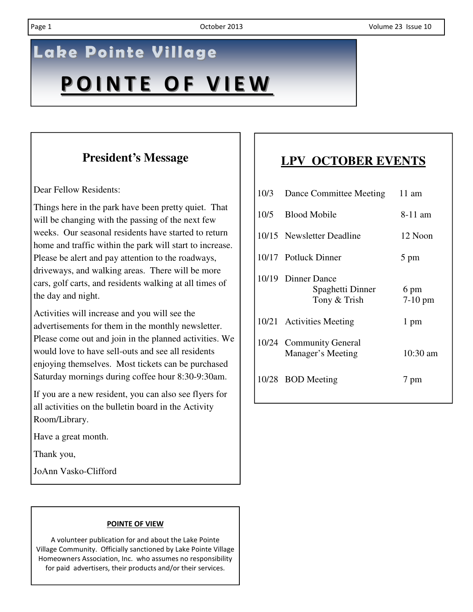# **Lake Pointe Village POINTE OF VIEW**

### **President's Message**

Dear Fellow Residents:

Things here in the park have been pretty quiet. That will be changing with the passing of the next few weeks. Our seasonal residents have started to return home and traffic within the park will start to increase. Please be alert and pay attention to the roadways, driveways, and walking areas. There will be more cars, golf carts, and residents walking at all times of the day and night.

Activities will increase and you will see the advertisements for them in the monthly newsletter. Please come out and join in the planned activities. We would love to have sell-outs and see all residents enjoying themselves. Most tickets can be purchased Saturday mornings during coffee hour 8:30-9:30am.

If you are a new resident, you can also see flyers for all activities on the bulletin board in the Activity Room/Library.

Have a great month.

Thank you,

JoAnn Vasko-Clifford

#### **POINTE OF VIEW**

A volunteer publication for and about the Lake Pointe Village Community. Officially sanctioned by Lake Pointe Village Homeowners Association, Inc. who assumes no responsibility for paid advertisers, their products and/or their services.

### **LPV OCTOBER EVENTS**

|      | 10/3 Dance Committee Meeting                           | $11 \text{ am}$   |
|------|--------------------------------------------------------|-------------------|
| 10/5 | <b>Blood Mobile</b>                                    | 8-11 am           |
|      | 10/15 Newsletter Deadline                              | 12 Noon           |
|      | 10/17 Potluck Dinner                                   | 5 pm              |
|      | 10/19 Dinner Dance<br>Spaghetti Dinner<br>Tony & Trish | 6 pm<br>$7-10$ pm |
|      | 10/21 Activities Meeting                               | 1 pm              |
|      | 10/24 Community General<br>Manager's Meeting           | 10:30 am          |
|      | 10/28 BOD Meeting                                      | 7 pm              |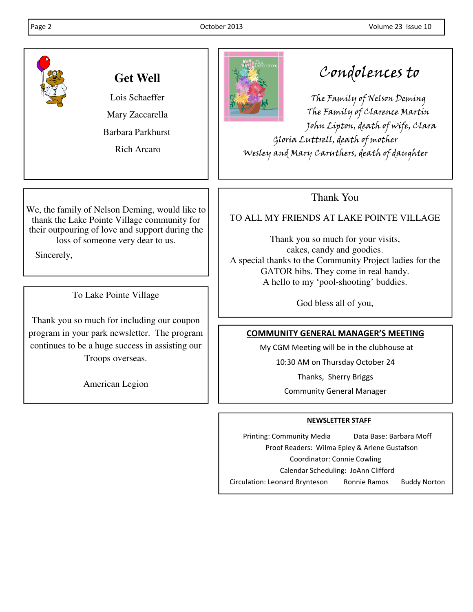

**Get Well** 

Lois Schaeffer Mary Zaccarella Barbara Parkhurst

Rich Arcaro

We, the family of Nelson Deming, would like to thank the Lake Pointe Village community for their outpouring of love and support during the loss of someone very dear to us.

Sincerely,

To Lake Pointe Village

Thank you so much for including our coupon program in your park newsletter. The program continues to be a huge success in assisting our Troops overseas.

American Legion



# Condolences to

The Family of Nelson Deming The Family of Clarence Martin John Lipton, death of wife, Clara Gloria Luttrell, death of mother Wesley and Mary Caruthers, death of daughter

### Thank You

TO ALL MY FRIENDS AT LAKE POINTE VILLAGE

Thank you so much for your visits, cakes, candy and goodies. A special thanks to the Community Project ladies for the GATOR bibs. They come in real handy. A hello to my 'pool-shooting' buddies.

God bless all of you,

### **COMMUNITY GENERAL MANAGER'S MEETING**

My CGM Meeting will be in the clubhouse at

10:30 AM on Thursday October 24

Thanks, Sherry Briggs

Community General Manager

### **NEWSLETTER STAFF**

 Printing: Community Media Data Base: Barbara Moff Proof Readers: Wilma Epley & Arlene Gustafson Coordinator: Connie Cowling Calendar Scheduling: JoAnn Clifford Circulation: Leonard Brynteson Ronnie Ramos Buddy Norton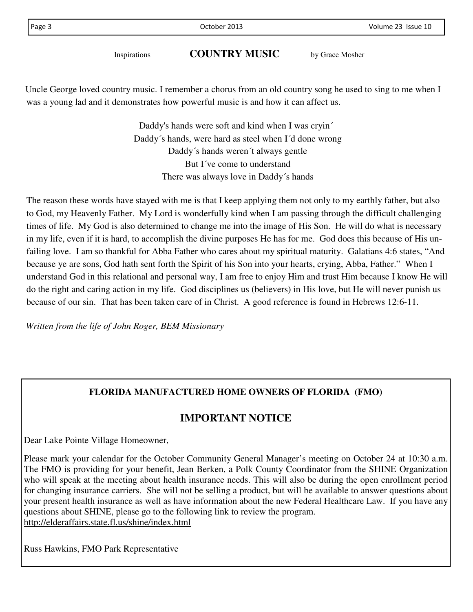Inspirations **COUNTRY MUSIC** by Grace Mosher

 Uncle George loved country music. I remember a chorus from an old country song he used to sing to me when I was a young lad and it demonstrates how powerful music is and how it can affect us.

> Daddy's hands were soft and kind when I was cryin´ Daddy´s hands, were hard as steel when I´d done wrong Daddy´s hands weren´t always gentle But I´ve come to understand There was always love in Daddy´s hands

The reason these words have stayed with me is that I keep applying them not only to my earthly father, but also to God, my Heavenly Father. My Lord is wonderfully kind when I am passing through the difficult challenging times of life. My God is also determined to change me into the image of His Son. He will do what is necessary in my life, even if it is hard, to accomplish the divine purposes He has for me. God does this because of His unfailing love. I am so thankful for Abba Father who cares about my spiritual maturity. Galatians 4:6 states, "And because ye are sons, God hath sent forth the Spirit of his Son into your hearts, crying, Abba, Father." When I understand God in this relational and personal way, I am free to enjoy Him and trust Him because I know He will do the right and caring action in my life. God disciplines us (believers) in His love, but He will never punish us because of our sin. That has been taken care of in Christ. A good reference is found in Hebrews 12:6-11.

*Written from the life of John Roger, BEM Missionary*

### **FLORIDA MANUFACTURED HOME OWNERS OF FLORIDA (FMO)**

### **IMPORTANT NOTICE**

Dear Lake Pointe Village Homeowner,

Please mark your calendar for the October Community General Manager's meeting on October 24 at 10:30 a.m. The FMO is providing for your benefit, Jean Berken, a Polk County Coordinator from the SHINE Organization who will speak at the meeting about health insurance needs. This will also be during the open enrollment period for changing insurance carriers. She will not be selling a product, but will be available to answer questions about your present health insurance as well as have information about the new Federal Healthcare Law. If you have any questions about SHINE, please go to the following link to review the program. http://elderaffairs.state.fl.us/shine/index.html

Russ Hawkins, FMO Park Representative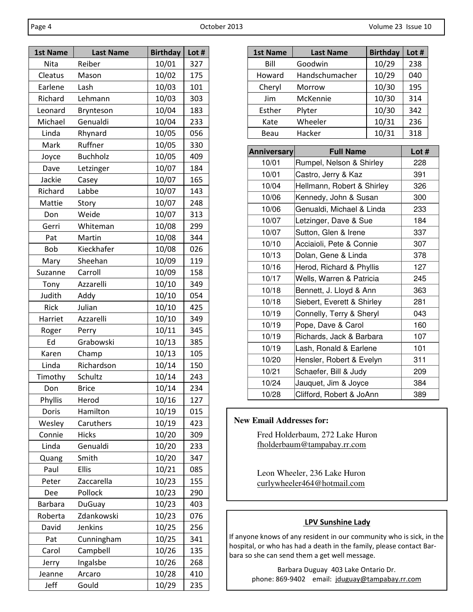| <b>1st Name</b> | <b>Last Name</b> | <b>Birthday</b> | Lot # |
|-----------------|------------------|-----------------|-------|
| Nita            | Reiber           | 10/01           | 327   |
| Cleatus         | Mason            | 10/02           | 175   |
| Earlene         | Lash             | 10/03           | 101   |
| Richard         | Lehmann          | 10/03           | 303   |
| Leonard         | Brynteson        | 10/04           | 183   |
| Michael         | Genualdi         | 10/04           | 233   |
| Linda           | Rhynard          | 10/05           | 056   |
| Mark            | Ruffner          | 10/05           | 330   |
| Joyce           | <b>Buchholz</b>  | 10/05           | 409   |
| Dave            | Letzinger        | 10/07           | 184   |
| Jackie          | Casey            | 10/07           | 165   |
| Richard         | Labbe            | 10/07           | 143   |
| Mattie          | Story            | 10/07           | 248   |
| Don             | Weide            | 10/07           | 313   |
| Gerri           | Whiteman         | 10/08           | 299   |
| Pat             | Martin           | 10/08           | 344   |
| <b>Bob</b>      | Kieckhafer       | 10/08           | 026   |
| Mary            | Sheehan          | 10/09           | 119   |
| Suzanne         | Carroll          | 10/09           | 158   |
| Tony            | Azzarelli        | 10/10           | 349   |
| Judith          | Addy             | 10/10           | 054   |
| Rick            | Julian           | 10/10           | 425   |
| Harriet         | Azzarelli        | 10/10           | 349   |
| Roger           | Perry            | 10/11           | 345   |
| Ed              | Grabowski        | 10/13           | 385   |
| Karen           | Champ            | 10/13           | 105   |
| Linda           | Richardson       | 10/14           | 150   |
| Timothy         | Schultz          | 10/14           | 243   |
| Don             | <b>Brice</b>     | 10/14           | 234   |
| Phyllis         | Herod            | 10/16           | 127   |
| Doris           | Hamilton         | 10/19           | 015   |
| Wesley          | Caruthers        | 10/19           | 423   |
| Connie          | <b>Hicks</b>     | 10/20           | 309   |
| Linda           | Genualdi         | 10/20           | 233   |
| Quang           | Smith            | 10/20           | 347   |
| Paul            | <b>Ellis</b>     | 10/21           | 085   |
| Peter           | Zaccarella       | 10/23           | 155   |
| Dee             | Pollock          | 10/23           | 290   |
| <b>Barbara</b>  | <b>DuGuay</b>    | 10/23           | 403   |
| Roberta         | Zdankowski       | 10/23           | 076   |
| David           | Jenkins          | 10/25           | 256   |
| Pat             | Cunningham       | 10/25           | 341   |
| Carol           | Campbell         | 10/26           | 135   |
| Jerry           | Ingalsbe         | 10/26           | 268   |
| Jeanne          | Arcaro           | 10/28           | 410   |
| Jeff            | Gould            | 10/29           | 235   |

| <b>1st Name</b> | <b>Last Name</b>           | <b>Birthday</b> | Lot # |  |
|-----------------|----------------------------|-----------------|-------|--|
| Bill            | Goodwin                    | 10/29           | 238   |  |
| Howard          | Handschumacher             | 10/29           | 040   |  |
| Cheryl          | Morrow                     | 10/30           | 195   |  |
| Jim             | McKennie                   | 10/30           | 314   |  |
| Esther          | Plyter                     | 10/30           | 342   |  |
| Kate            | Wheeler                    | 10/31           | 236   |  |
| Beau            | Hacker                     | 10/31           | 318   |  |
| Anniversary     | <b>Full Name</b>           |                 | Lot # |  |
| 10/01           | Rumpel, Nelson & Shirley   |                 | 228   |  |
| 10/01           | Castro, Jerry & Kaz        |                 | 391   |  |
| 10/04           | Hellmann, Robert & Shirley |                 | 326   |  |
| 10/06           | Kennedy, John & Susan      |                 | 300   |  |
| 10/06           | Genualdi, Michael & Linda  |                 | 233   |  |
| 10/07           | Letzinger, Dave & Sue      |                 | 184   |  |
| 10/07           | Sutton, Glen & Irene       |                 | 337   |  |
| 10/10           | Acciaioli, Pete & Connie   |                 | 307   |  |
| 10/13           | Dolan, Gene & Linda        |                 | 378   |  |
| 10/16           | Herod, Richard & Phyllis   |                 | 127   |  |
| 10/17           | Wells, Warren & Patricia   |                 | 245   |  |
| 10/18           | Bennett, J. Lloyd & Ann    |                 | 363   |  |
| 10/18           | Siebert, Everett & Shirley |                 | 281   |  |
| 10/19           | Connelly, Terry & Sheryl   |                 | 043   |  |
| 10/19           | Pope, Dave & Carol         |                 | 160   |  |
| 10/19           | Richards, Jack & Barbara   |                 | 107   |  |
| 10/19           | Lash, Ronald & Earlene     |                 | 101   |  |
| 10/20           | Hensler, Robert & Evelyn   |                 | 311   |  |
| 10/21           | Schaefer, Bill & Judy      |                 | 209   |  |
| 10/24           | Jauquet, Jim & Joyce       |                 | 384   |  |
| 10/28           | Clifford, Robert & JoAnn   |                 | 389   |  |

#### **New Email Addresses for:**

Fred Holderbaum, 272 Lake Huron fholderbaum@tampabay.rr.com

Leon Wheeler, 236 Lake Huron curlywheeler464@hotmail.com

#### **LPV Sunshine Lady**

If anyone knows of any resident in our community who is sick, in the hospital, or who has had a death in the family, please contact Barbara so she can send them a get well message.

Barbara Duguay 403 Lake Ontario Dr. phone: 869-9402 email: jduguay@tampabay.rr.com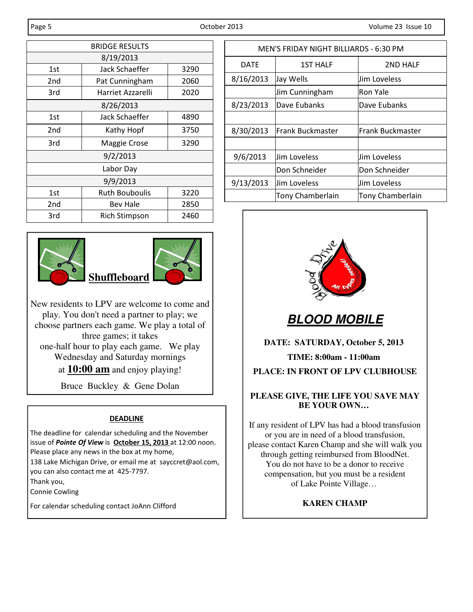Page 5 October 2013 Volume 23 Issue 10

|                 | <b>BRIDGE RESULTS</b> |      |
|-----------------|-----------------------|------|
|                 | 8/19/2013             |      |
| 1st             | Jack Schaeffer        | 3290 |
| 2 <sub>nd</sub> | Pat Cunningham        | 2060 |
| 3rd             | Harriet Azzarelli     | 2020 |
|                 | 8/26/2013             |      |
| 1st             | Jack Schaeffer        | 4890 |
| 2nd             | Kathy Hopf            | 3750 |
| 3rd             | Maggie Crose          | 3290 |
|                 | 9/2/2013              |      |
|                 | Labor Day             |      |
|                 | 9/9/2013              |      |
| 1st             | <b>Ruth Bouboulis</b> | 3220 |
| 2 <sub>nd</sub> | <b>Bev Hale</b>       | 2850 |
| 3rd             | Rich Stimpson         | 2460 |
|                 |                       |      |





New residents to LPV are welcome to come and play. You don't need a partner to play; we choose partners each game. We play a total of three games; it takes one-half hour to play each game. We play Wednesday and Saturday mornings at **10:00 am** and enjoy playing!

Bruce Buckley & Gene Dolan

### **DEADLINE**

The deadline for calendar scheduling and the November issue of *Pointe Of View* is **October 15, 2013** at 12:00 noon. Please place any news in the box at my home, 138 Lake Michigan Drive, or email me at sayccret@aol.com, you can also contact me at 425-7797. Thank you, Connie Cowling

For calendar scheduling contact JoAnn Clifford

|             | <b>MEN'S FRIDAY NIGHT BILLIARDS - 6:30 PM</b> |                         |
|-------------|-----------------------------------------------|-------------------------|
| <b>DATE</b> | <b>1ST HALF</b>                               | <b>2ND HALF</b>         |
| 8/16/2013   | Jay Wells                                     | Jim Loveless            |
|             | Jim Cunningham                                | Ron Yale                |
| 8/23/2013   | Dave Eubanks                                  | Dave Eubanks            |
|             |                                               |                         |
| 8/30/2013   | Frank Buckmaster                              | <b>Frank Buckmaster</b> |
|             |                                               |                         |
| 9/6/2013    | Jim Loveless                                  | Jim Loveless            |
|             | Don Schneider                                 | Don Schneider           |
| 9/13/2013   | lJim Loveless                                 | Jim Loveless            |
|             | <b>Tony Chamberlain</b>                       | <b>Tony Chamberlain</b> |



### **BLOOD MOBILE**

### **DATE: SATURDAY, October 5, 2013 TIME: 8:00am - 11:00am PLACE: IN FRONT OF LPV CLUBHOUSE**

### **PLEASE GIVE, THE LIFE YOU SAVE MAY BE YOUR OWN…**

If any resident of LPV has had a blood transfusion or you are in need of a blood transfusion, please contact Karen Champ and she will walk you through getting reimbursed from BloodNet. You do not have to be a donor to receive compensation, but you must be a resident of Lake Pointe Village…

 **KAREN CHAMP**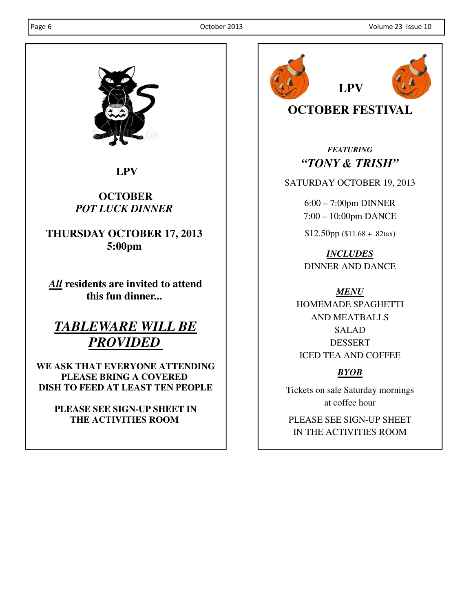

 **LPV** 

**OCTOBER**  *POT LUCK DINNER*

**THURSDAY OCTOBER 17, 2013 5:00pm**

*All* **residents are invited to attend this fun dinner...**

### *TABLEWARE WILL BE PROVIDED*

**WE ASK THAT EVERYONE ATTENDING PLEASE BRING A COVERED DISH TO FEED AT LEAST TEN PEOPLE**

**PLEASE SEE SIGN-UP SHEET IN THE ACTIVITIES ROOM**





### **OCTOBER FESTIVAL**

**LPV** 

### *FEATURING "TONY & TRISH"*

SATURDAY OCTOBER 19, 2013

6:00 – 7:00pm DINNER 7:00 – 10:00pm DANCE

\$12.50pp (\$11.68 + .82tax)

*INCLUDES* DINNER AND DANCE

*MENU* HOMEMADE SPAGHETTI AND MEATBALLS SALAD DESSERT ICED TEA AND COFFEE

### *BYOB*

Tickets on sale Saturday mornings at coffee hour

PLEASE SEE SIGN-UP SHEET IN THE ACTIVITIES ROOM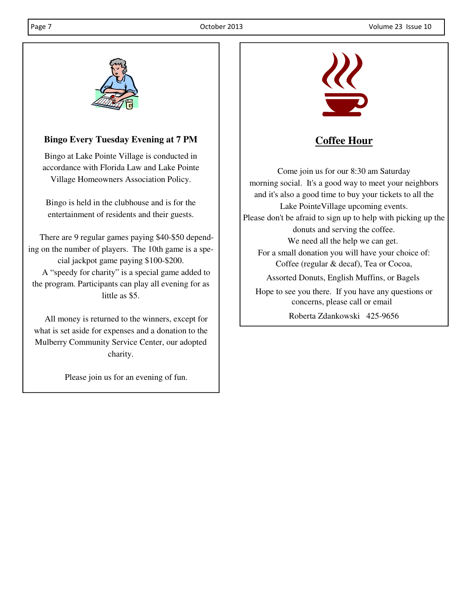

### **Bingo Every Tuesday Evening at 7 PM**

Bingo at Lake Pointe Village is conducted in accordance with Florida Law and Lake Pointe Village Homeowners Association Policy.

Bingo is held in the clubhouse and is for the entertainment of residents and their guests.

 There are 9 regular games paying \$40-\$50 depending on the number of players. The 10th game is a special jackpot game paying \$100-\$200. A "speedy for charity" is a special game added to the program. Participants can play all evening for as little as \$5.

 All money is returned to the winners, except for what is set aside for expenses and a donation to the Mulberry Community Service Center, our adopted charity.

Please join us for an evening of fun.



### **Coffee Hour**

Come join us for our 8:30 am Saturday morning social. It's a good way to meet your neighbors and it's also a good time to buy your tickets to all the Lake PointeVillage upcoming events. Please don't be afraid to sign up to help with picking up the donuts and serving the coffee. We need all the help we can get. For a small donation you will have your choice of: Coffee (regular & decaf), Tea or Cocoa, Assorted Donuts, English Muffins, or Bagels

Hope to see you there. If you have any questions or concerns, please call or email

Roberta Zdankowski 425-9656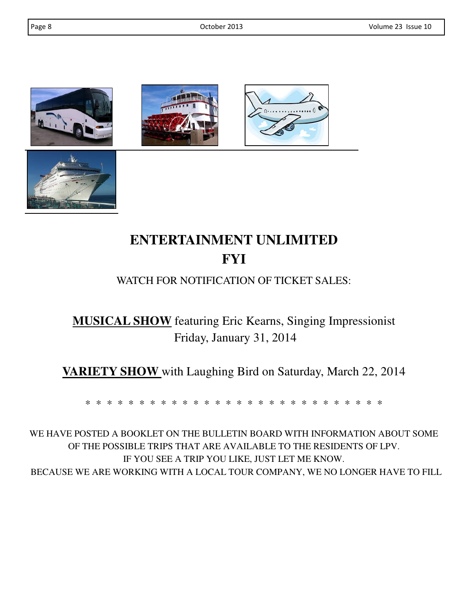

## **ENTERTAINMENT UNLIMITED FYI**

### WATCH FOR NOTIFICATION OF TICKET SALES:

**MUSICAL SHOW** featuring Eric Kearns, Singing Impressionist Friday, January 31, 2014

**VARIETY SHOW** with Laughing Bird on Saturday, March 22, 2014

\* \* \* \* \* \* \* \* \* \* \* \* \* \* \* \* \* \* \* \* \* \* \* \* \* \* \* \*

WE HAVE POSTED A BOOKLET ON THE BULLETIN BOARD WITH INFORMATION ABOUT SOME OF THE POSSIBLE TRIPS THAT ARE AVAILABLE TO THE RESIDENTS OF LPV. IF YOU SEE A TRIP YOU LIKE, JUST LET ME KNOW. BECAUSE WE ARE WORKING WITH A LOCAL TOUR COMPANY, WE NO LONGER HAVE TO FILL